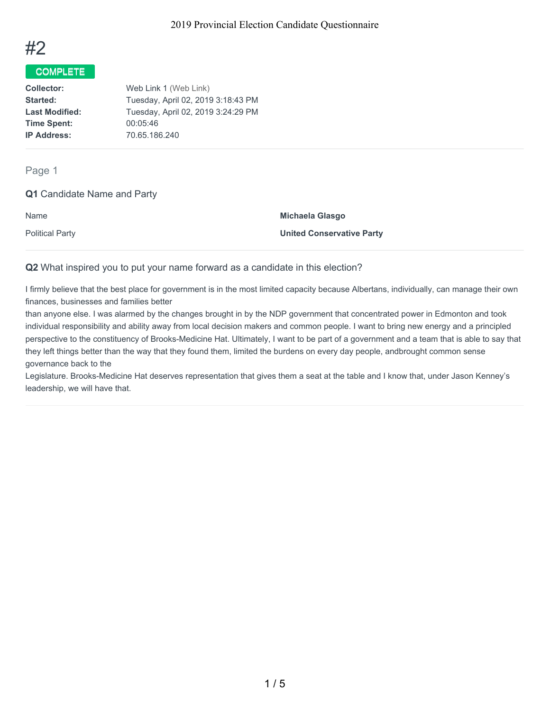

# COMPLETE

**Collector:** Web Link 1 (Web Link) **Started:** Tuesday, April 02, 2019 3:18:43 PM Last Modified: Tuesday, April 02, 2019 3:24:29 PM **Time Spent:** 00:05:46 **IP Address:** 70.65.186.240

Page 1

## **Q1** Candidate Name and Party

| Name                   | Michaela Glasgo                  |
|------------------------|----------------------------------|
| <b>Political Party</b> | <b>United Conservative Party</b> |

#### **Q2** What inspired you to put your name forward as a candidate in this election?

I firmly believe that the best place for government is in the most limited capacity because Albertans, individually, can manage their own finances, businesses and families better

than anyone else. I was alarmed by the changes brought in by the NDP government that concentrated power in Edmonton and took individual responsibility and ability away from local decision makers and common people. I want to bring new energy and a principled perspective to the constituency of Brooks-Medicine Hat. Ultimately, I want to be part of a government and a team that is able to say that they left things better than the way that they found them, limited the burdens on every day people, andbrought common sense governance back to the

Legislature. Brooks-Medicine Hat deserves representation that gives them a seat at the table and I know that, under Jason Kenney's leadership, we will have that.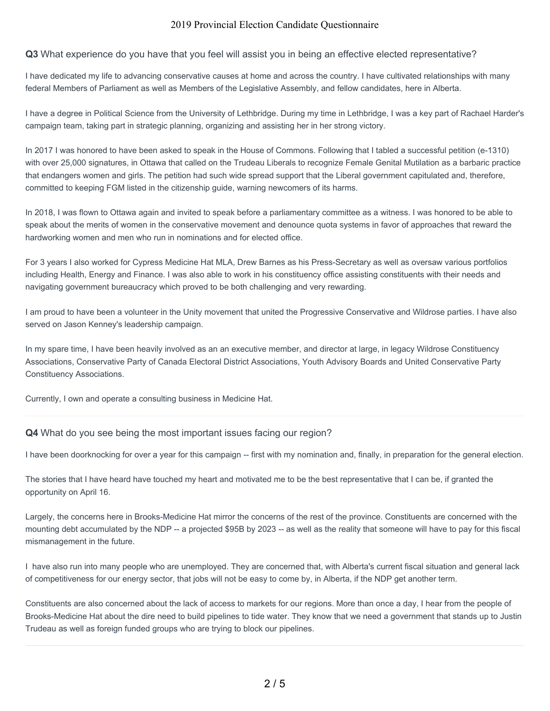#### **Q3** What experience do you have that you feel will assist you in being an effective elected representative?

I have dedicated my life to advancing conservative causes at home and across the country. I have cultivated relationships with many federal Members of Parliament as well as Members of the Legislative Assembly, and fellow candidates, here in Alberta.

I have a degree in Political Science from the University of Lethbridge. During my time in Lethbridge, I was a key part of Rachael Harder's campaign team, taking part in strategic planning, organizing and assisting her in her strong victory.

In 2017 I was honored to have been asked to speak in the House of Commons. Following that I tabled a successful petition (e-1310) with over 25,000 signatures, in Ottawa that called on the Trudeau Liberals to recognize Female Genital Mutilation as a barbaric practice that endangers women and girls. The petition had such wide spread support that the Liberal government capitulated and, therefore, committed to keeping FGM listed in the citizenship guide, warning newcomers of its harms.

In 2018, I was flown to Ottawa again and invited to speak before a parliamentary committee as a witness. I was honored to be able to speak about the merits of women in the conservative movement and denounce quota systems in favor of approaches that reward the hardworking women and men who run in nominations and for elected office.

For 3 years I also worked for Cypress Medicine Hat MLA, Drew Barnes as his Press-Secretary as well as oversaw various portfolios including Health, Energy and Finance. I was also able to work in his constituency office assisting constituents with their needs and navigating government bureaucracy which proved to be both challenging and very rewarding.

I am proud to have been a volunteer in the Unity movement that united the Progressive Conservative and Wildrose parties. I have also served on Jason Kenney's leadership campaign.

In my spare time, I have been heavily involved as an an executive member, and director at large, in legacy Wildrose Constituency Associations, Conservative Party of Canada Electoral District Associations, Youth Advisory Boards and United Conservative Party Constituency Associations.

Currently, I own and operate a consulting business in Medicine Hat.

#### **Q4** What do you see being the most important issues facing our region?

I have been doorknocking for over a year for this campaign -- first with my nomination and, finally, in preparation for the general election.

The stories that I have heard have touched my heart and motivated me to be the best representative that I can be, if granted the opportunity on April 16.

Largely, the concerns here in Brooks-Medicine Hat mirror the concerns of the rest of the province. Constituents are concerned with the mounting debt accumulated by the NDP -- a projected \$95B by 2023 -- as well as the reality that someone will have to pay for this fiscal mismanagement in the future.

I have also run into many people who are unemployed. They are concerned that, with Alberta's current fiscal situation and general lack of competitiveness for our energy sector, that jobs will not be easy to come by, in Alberta, if the NDP get another term.

Constituents are also concerned about the lack of access to markets for our regions. More than once a day, I hear from the people of Brooks-Medicine Hat about the dire need to build pipelines to tide water. They know that we need a government that stands up to Justin Trudeau as well as foreign funded groups who are trying to block our pipelines.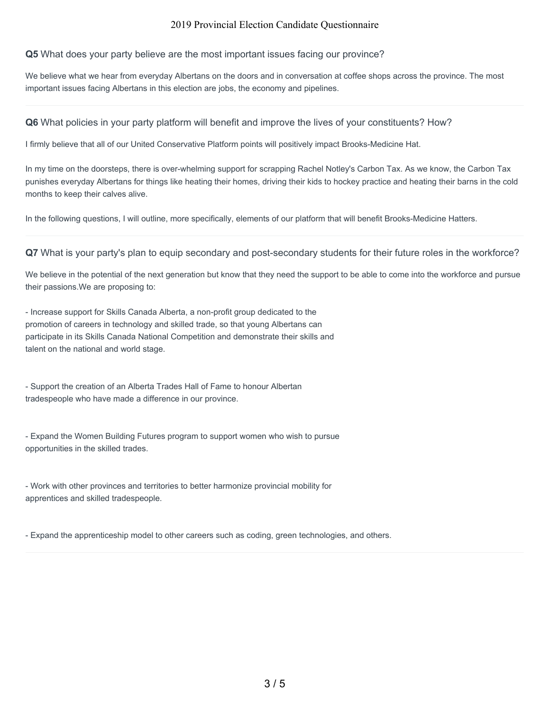#### **Q5** What does your party believe are the most important issues facing our province?

We believe what we hear from everyday Albertans on the doors and in conversation at coffee shops across the province. The most important issues facing Albertans in this election are jobs, the economy and pipelines.

#### **Q6** What policies in your party platform will benefit and improve the lives of your constituents? How?

I firmly believe that all of our United Conservative Platform points will positively impact Brooks-Medicine Hat.

In my time on the doorsteps, there is over-whelming support for scrapping Rachel Notley's Carbon Tax. As we know, the Carbon Tax punishes everyday Albertans for things like heating their homes, driving their kids to hockey practice and heating their barns in the cold months to keep their calves alive.

In the following questions, I will outline, more specifically, elements of our platform that will benefit Brooks-Medicine Hatters.

**Q7** What is your party's plan to equip secondary and post-secondary students for their future roles in the workforce?

We believe in the potential of the next generation but know that they need the support to be able to come into the workforce and pursue their passions.We are proposing to:

- Increase support for Skills Canada Alberta, a non-profit group dedicated to the promotion of careers in technology and skilled trade, so that young Albertans can participate in its Skills Canada National Competition and demonstrate their skills and talent on the national and world stage.

- Support the creation of an Alberta Trades Hall of Fame to honour Albertan tradespeople who have made a difference in our province.

- Expand the Women Building Futures program to support women who wish to pursue opportunities in the skilled trades.

- Work with other provinces and territories to better harmonize provincial mobility for apprentices and skilled tradespeople.

- Expand the apprenticeship model to other careers such as coding, green technologies, and others.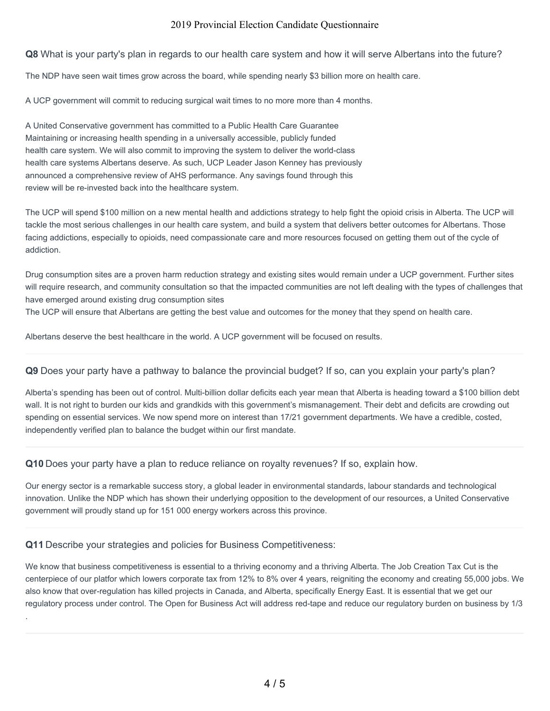**Q8** What is your party's plan in regards to our health care system and how it will serve Albertans into the future?

The NDP have seen wait times grow across the board, while spending nearly \$3 billion more on health care.

A UCP government will commit to reducing surgical wait times to no more more than 4 months.

A United Conservative government has committed to a Public Health Care Guarantee Maintaining or increasing health spending in a universally accessible, publicly funded health care system. We will also commit to improving the system to deliver the world-class health care systems Albertans deserve. As such, UCP Leader Jason Kenney has previously announced a comprehensive review of AHS performance. Any savings found through this review will be re-invested back into the healthcare system.

The UCP will spend \$100 million on a new mental health and addictions strategy to help fight the opioid crisis in Alberta. The UCP will tackle the most serious challenges in our health care system, and build a system that delivers better outcomes for Albertans. Those facing addictions, especially to opioids, need compassionate care and more resources focused on getting them out of the cycle of addiction.

Drug consumption sites are a proven harm reduction strategy and existing sites would remain under a UCP government. Further sites will require research, and community consultation so that the impacted communities are not left dealing with the types of challenges that have emerged around existing drug consumption sites

The UCP will ensure that Albertans are getting the best value and outcomes for the money that they spend on health care.

Albertans deserve the best healthcare in the world. A UCP government will be focused on results.

## **Q9** Does your party have a pathway to balance the provincial budget? If so, can you explain your party's plan?

Alberta's spending has been out of control. Multi-billion dollar deficits each year mean that Alberta is heading toward a \$100 billion debt wall. It is not right to burden our kids and grandkids with this government's mismanagement. Their debt and deficits are crowding out spending on essential services. We now spend more on interest than 17/21 government departments. We have a credible, costed, independently verified plan to balance the budget within our first mandate.

**Q10** Does your party have a plan to reduce reliance on royalty revenues? If so, explain how.

Our energy sector is a remarkable success story, a global leader in environmental standards, labour standards and technological innovation. Unlike the NDP which has shown their underlying opposition to the development of our resources, a United Conservative government will proudly stand up for 151 000 energy workers across this province.

## **Q11** Describe your strategies and policies for Business Competitiveness:

.

We know that business competitiveness is essential to a thriving economy and a thriving Alberta. The Job Creation Tax Cut is the centerpiece of our platfor which lowers corporate tax from 12% to 8% over 4 years, reigniting the economy and creating 55,000 jobs. We also know that over-regulation has killed projects in Canada, and Alberta, specifically Energy East. It is essential that we get our regulatory process under control. The Open for Business Act will address red-tape and reduce our regulatory burden on business by 1/3